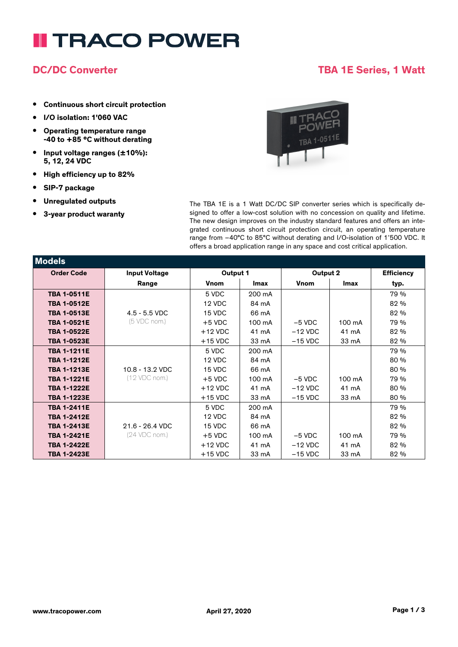# **II TRACO POWER**

### **DC/DC Converter TBA 1E Series, 1 Watt**

- **• Continuous short circuit protection**
- **• I/O isolation: 1'060 VAC**
- **• Operating temperature range -40 to +85 °C without derating**
- **• Input voltage ranges (±10%): 5, 12, 24 VDC**
- **• High efficiency up to 82%**
- **• SIP-7 package**

**Models**

- **• Unregulated outputs**
- **• 3-year product waranty**



The TBA 1E is a 1 Watt DC/DC SIP converter series which is specifically designed to offer a low-cost solution with no concession on quality and lifetime. The new design improves on the industry standard features and offers an integrated continuous short circuit protection circuit, an operating temperature range from –40°C to 85°C without derating and I/O-isolation of 1'500 VDC. It offers a broad application range in any space and cost critical application.

| <b>INIOGEIS</b>    |                      |             |             |             |             |                   |
|--------------------|----------------------|-------------|-------------|-------------|-------------|-------------------|
| <b>Order Code</b>  | <b>Input Voltage</b> | Output 1    |             | Output 2    |             | <b>Efficiency</b> |
|                    | Range                | <b>Vnom</b> | <b>Imax</b> | <b>Vnom</b> | <b>Imax</b> | typ.              |
| <b>TBA 1-0511E</b> |                      | 5 VDC       | 200 mA      |             |             | 79 %              |
| <b>TBA 1-0512E</b> |                      | 12 VDC      | 84 mA       |             |             | 82 %              |
| <b>TBA 1-0513E</b> | $4.5 - 5.5$ VDC      | 15 VDC      | 66 mA       |             |             | 82 %              |
| <b>TBA 1-0521E</b> | (5 VDC nom.)         | $+5$ VDC    | 100 mA      | $-5$ VDC    | 100 mA      | 79 %              |
| <b>TBA 1-0522E</b> |                      | $+12$ VDC   | 41 mA       | $-12$ VDC   | 41 mA       | 82 %              |
| <b>TBA 1-0523E</b> |                      | $+15$ VDC   | 33 mA       | $-15$ VDC   | 33 mA       | 82 %              |
| <b>TBA 1-1211E</b> |                      | 5 VDC       | 200 mA      |             |             | 79 %              |
| <b>TBA 1-1212E</b> |                      | 12 VDC      | 84 mA       |             |             | 80 %              |
| <b>TBA 1-1213E</b> | $10.8 - 13.2$ VDC    | 15 VDC      | 66 mA       |             |             | 80 %              |
| <b>TBA 1-1221E</b> | (12 VDC nom.)        | $+5$ VDC    | 100 mA      | $-5$ VDC    | 100 mA      | 79 %              |
| <b>TBA 1-1222E</b> |                      | $+12$ VDC   | 41 mA       | $-12$ VDC   | 41 mA       | 80 %              |
| <b>TBA 1-1223E</b> |                      | $+15$ VDC   | 33 mA       | $-15$ VDC   | 33 mA       | 80 %              |
| <b>TBA 1-2411E</b> |                      | 5 VDC       | 200 mA      |             |             | 79 %              |
| <b>TBA 1-2412E</b> |                      | 12 VDC      | 84 mA       |             |             | 82 %              |
| <b>TBA 1-2413E</b> | 21.6 - 26.4 VDC      | 15 VDC      | 66 mA       |             |             | 82 %              |
| <b>TBA 1-2421E</b> | (24 VDC nom.)        | $+5$ VDC    | 100 mA      | $-5$ VDC    | 100 mA      | 79 %              |
| <b>TBA 1-2422E</b> |                      | $+12$ VDC   | 41 mA       | $-12$ VDC   | 41 mA       | 82 %              |
| <b>TBA 1-2423E</b> |                      | $+15$ VDC   | 33 mA       | $-15$ VDC   | 33 mA       | 82 %              |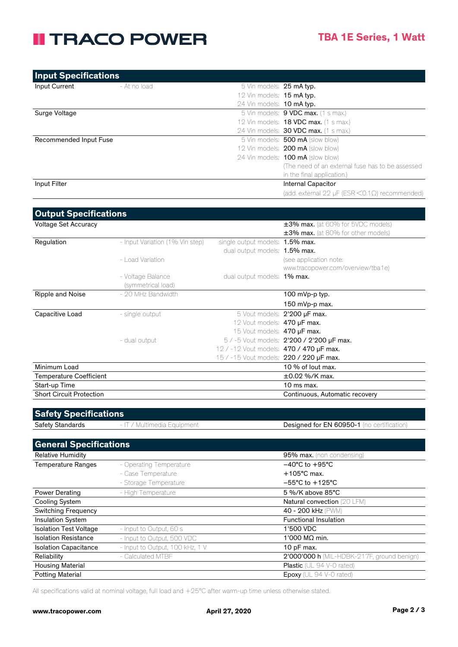## **II TRACO POWER**

| <b>Input Specifications</b> |              |                           |                                                              |
|-----------------------------|--------------|---------------------------|--------------------------------------------------------------|
| Input Current               | - At no load | 5 Vin models: 25 mA typ.  |                                                              |
|                             |              | 12 Vin models: 15 mA typ. |                                                              |
|                             |              | 24 Vin models: 10 mA typ. |                                                              |
| Surge Voltage               |              |                           | 5 Vin models: 9 VDC max. (1 s max.)                          |
|                             |              |                           | 12 Vin models: <b>18 VDC max.</b> (1 s max.)                 |
|                             |              |                           | 24 Vin models: 30 VDC max. (1 s max.)                        |
| Recommended Input Fuse      |              |                           | 5 Vin models: 500 mA (slow blow)                             |
|                             |              |                           | 12 Vin models: <b>200 mA</b> (slow blow)                     |
|                             |              |                           | 24 Vin models: <b>100 mA</b> (slow blow)                     |
|                             |              |                           | (The need of an external fuse has to be assessed)            |
|                             |              |                           | in the final application.)                                   |
| Input Filter                |              |                           | <b>Internal Capacitor</b>                                    |
|                             |              |                           | (add. external 22 $\mu$ F (ESR < 0.1 $\Omega$ ) recommended) |

| <b>Output Specifications</b>    |                                 |                                                |                                           |
|---------------------------------|---------------------------------|------------------------------------------------|-------------------------------------------|
| <b>Voltage Set Accuracy</b>     |                                 |                                                | $\pm 3\%$ max. (at 60% for 5VDC models)   |
|                                 |                                 |                                                | $\pm 3\%$ max. (at 80% for other models)  |
| Regulation                      | - Input Variation (1% Vin step) | single output models: 1.5% max.                |                                           |
|                                 |                                 | dual output models: <b>1.5% max.</b>           |                                           |
|                                 | - Load Variation                |                                                | (see application note:                    |
|                                 |                                 |                                                | www.tracopower.com/overview/tba1e)        |
|                                 | - Voltage Balance               | dual output models: <b>1% max.</b>             |                                           |
|                                 | (symmetrical load)              |                                                |                                           |
| Ripple and Noise                | - 20 MHz Bandwidth              |                                                | 100 mVp-p typ.                            |
|                                 |                                 |                                                | 150 mVp-p max.                            |
| Capacitive Load                 | - single output                 |                                                | 5 Vout models: 2'200 µF max.              |
|                                 |                                 | 12 Vout models: 470 µF max.                    |                                           |
|                                 |                                 | 15 Vout models: 470 µF max.                    |                                           |
|                                 | - dual output                   |                                                | 5 / -5 Vout models: 2'200 / 2'200 µF max. |
|                                 |                                 | 12 / -12 Vout models: <b>470 / 470 µF max.</b> |                                           |
|                                 |                                 | 15 / -15 Vout models: 220 / 220 µF max.        |                                           |
| Minimum Load                    |                                 |                                                | 10 % of lout max.                         |
| <b>Temperature Coefficient</b>  |                                 |                                                | $\pm 0.02$ %/K max.                       |
| Start-up Time                   |                                 |                                                | $10$ ms max.                              |
| <b>Short Circuit Protection</b> |                                 |                                                | Continuous, Automatic recovery            |

| <b>Safety Specifications</b> |
|------------------------------|
|------------------------------|

Safety Standards - IT / Multimedia Equipment Designed for EN 60950-1 (no certification)

| <b>General Specifications</b> |                                 |                                            |
|-------------------------------|---------------------------------|--------------------------------------------|
| <b>Relative Humidity</b>      |                                 | 95% max. (non condensing)                  |
| <b>Temperature Ranges</b>     | - Operating Temperature         | $-40^{\circ}$ C to $+95^{\circ}$ C         |
|                               | - Case Temperature              | $+105^{\circ}$ C max.                      |
|                               | - Storage Temperature           | $-55^{\circ}$ C to $+125^{\circ}$ C        |
| <b>Power Derating</b>         | - High Temperature              | 5 %/K above 85°C                           |
| Cooling System                |                                 | <b>Natural convection (20 LFM)</b>         |
| <b>Switching Frequency</b>    |                                 | 40 - 200 kHz (PWM)                         |
| <b>Insulation System</b>      |                                 | <b>Functional Insulation</b>               |
| <b>Isolation Test Voltage</b> | - Input to Output, 60 s         | 1'500 VDC                                  |
| <b>Isolation Resistance</b>   | - Input to Output, 500 VDC      | 1'000 MΩ min.                              |
| <b>Isolation Capacitance</b>  | - Input to Output, 100 kHz, 1 V | 10 pF max.                                 |
| Reliability                   | - Calculated MTBF               | 2'000'000 h (MIL-HDBK-217F, ground benign) |
| <b>Housing Material</b>       |                                 | <b>Plastic</b> ( $UL$ 94 $V$ -0 rated)     |
| <b>Potting Material</b>       |                                 | <b>Epoxy</b> (UL 94 V-0 rated)             |

All specifications valid at nominal voltage, full load and +25°C after warm-up time unless otherwise stated.